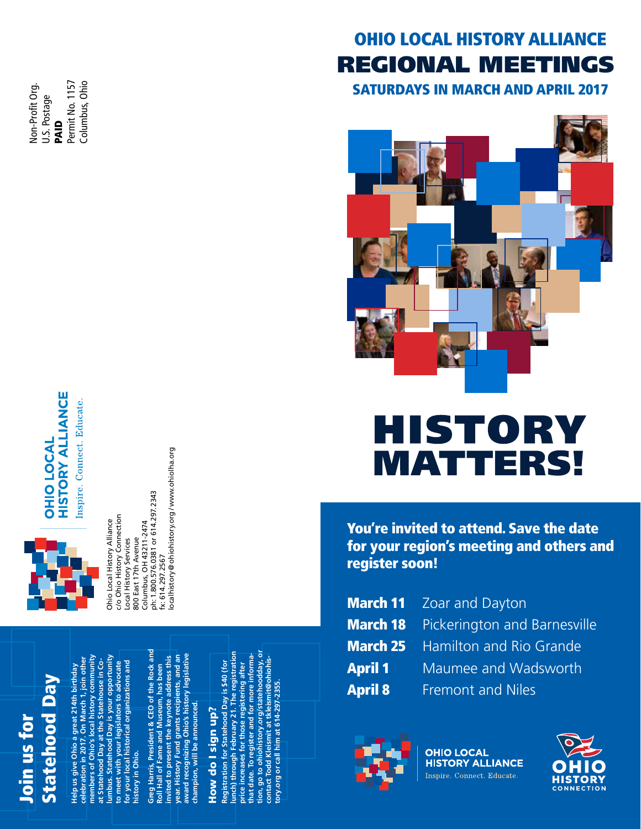Permit No. 1157 Permit No. 1157 Columbus, Ohio Non-Profit Org. Columbus, Ohio Non-Profit Org. U.S. Postage PAID



fx: 614.297.2567<br>localhistory @ ohiohistory.org/ www.ohiolha.org localhistory [@ohiohistory.org](mailto:localhistory@ohiohistory.org) / [www.ohiolha.org](http://www.ohiolha.org) ph: 1.800.576.0381 or 614.297.2343 ph: 1.800.576.0381 or 614.297.2343 c/o Ohio History Connection c/o Ohio History Connection Ohio Local History Alliance Columbus, OH 43211-2474 Ohio Local History Alliance Columbus, OH 43211-2474 800 East 17th Avenue 800 East 17th Avenue Local History Services Local History Services fx: 614.297.2567

# Join us for<br>Statehood Day

**members of Ohio's local history community**  lumbus. Statehood Day is your opportunity<br>to meet with your legislators to advocate<br>for your local historical organizations and<br>history in Ohio. **lumbus. Statehood Day is your opportunity celebration in 2017. On March 1, join other**  members of Ohio's local history community Help us give Ohio a great 214th birthday<br>celebration in 2017. On March 1, join other at Statehood Day at the Statehouse in Co**at Statehood Day at the Statehouse in Cofor your local historical organizations and to meet with your legislators to advocate Help us give Ohio a great 214th birthday history in Ohio.**

**Greg Harris, President & CEO of the Rock and**  Greg Harris, President & CEO of the Rock and **award recognizing Ohio's history legislative**  year. History Fund grants recipients, and an **year. History Fund grants recipients, and an**  water of the computation of the set of the set of the set of the set of the set of the set of the set of the set of the set of the set of the set of the set of the set of the set of the set of the set of the set of the set invited to present the keynote address this **invited to present the keynote address this**  Roll Hall of Fame and Museum, has been **Roll Hall of Fame and Museum, has been**  champion, will be announced. **champion, will be announced.**

# How do I sign up? How do I sign up?

**lunch) through February 21. The registration tion, go to [ohiohistory.org/statehoodday,](https://connect.ohiohistory.org/events/statehood-day) or**  price increases for those registering after<br>that date. To register and for more informa-<br>tion, go to ohiohistory.org/statehoodday, or<br>contact Todd Kleismit at tkleismit@ohiohislunch) through February 21. The registration **that date. To register and for more informacontact Todd Kleismit at [tkleismit@ohiohis-](mailto:tkleismit@ohiohistory.org)Registration for Statehood Day is \$40 (for**  Registration for Statehood Day is \$40 (for **price increases for those registering after [tory.org](mailto:tkleismit@ohiohistory.org) or call him at 614-297-2355.**

# **OHIO LOCAL HISTORY ALLIANCE** REGIONAL MEETINGS

SATURDAYS IN MARCH AND APRIL 2017



# **IST**  $\bullet$ MATTEI RS!

You're invited to attend. Save the date for your region's meeting and others and register soon!

|                | <b>March 11</b> Zoar and Dayton              |
|----------------|----------------------------------------------|
|                | <b>March 18</b> Pickerington and Barnesville |
|                | <b>March 25</b> Hamilton and Rio Grande      |
| <b>April 1</b> | Maumee and Wadsworth                         |
| <b>April 8</b> | <b>Fremont and Niles</b>                     |



**OHIO LOCAL HISTORY ALLIANCE** Inspire. Connect. Educate.

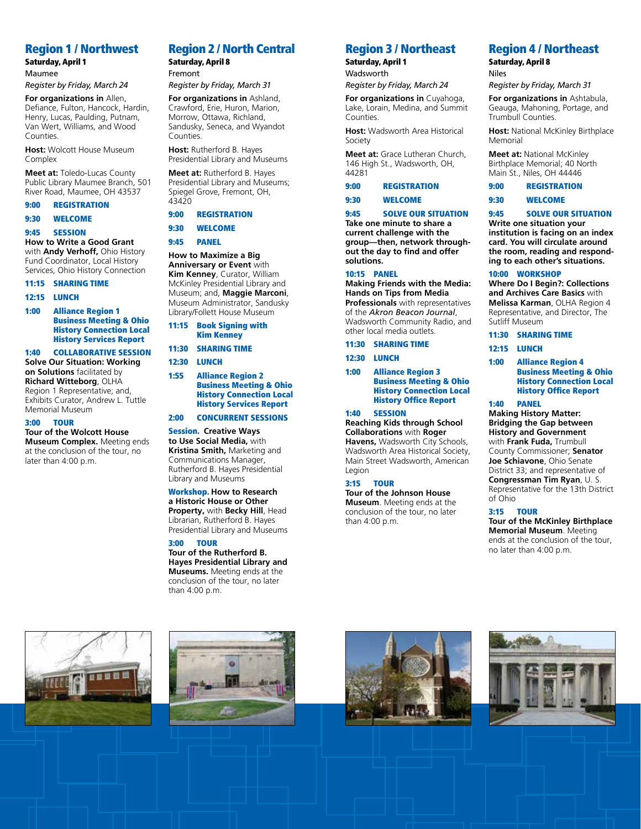# Region 1 / Northwest

#### Saturday, April 1 Maumee

*Register by Friday, March 24*

**For organizations in** Allen, Defiance, Fulton, Hancock, Hardin, Henry, Lucas, Paulding, Putnam, Van Wert, Williams, and Wood Counties.

**Host:** Wolcott House Museum Complex

**Meet at:** Toledo-Lucas County Public Library Maumee Branch, 501 River Road, Maumee, OH 43537

#### 9:00 REGISTRATION

9:30 WELCOME

9:45 SESSION

**How to Write a Good Grant**

with **Andy Verhoff,** Ohio History Fund Coordinator, Local History Services, Ohio History Connection

#### 11:15 SHARING TIME

#### 12:15 LUNCH

1:00 Alliance Region 1 Business Meeting & Ohio History Connection Local History Services Report

1:40 COLLABORATIVE SESSION **Solve Our Situation: Working** 

#### **on Solutions** facilitated by **Richard Witteborg**, OLHA

Region 1 Representative; and, Exhibits Curator, Andrew L. Tuttle Memorial Museum

#### 3:00 TOUR

**Tour of the Wolcott House Museum Complex.** Meeting ends at the conclusion of the tour, no later than 4:00 p.m.

# Region 2 / North Central

Saturday, April 8 Fremont

#### *Register by Friday, March 31*

**For organizations in** Ashland, Crawford, Erie, Huron, Marion, Morrow, Ottawa, Richland, Sandusky, Seneca, and Wyandot Counties.

**Host:** Rutherford B. Hayes Presidential Library and Museums

**Meet at:** Rutherford B. Hayes Presidential Library and Museums; Spiegel Grove, Fremont, OH, 43420

# 9:00 REGISTRATION

# 9:30 WELCOME

#### 9:45 PANEL

**How to Maximize a Big Anniversary or Event** with **Kim Kenney**, Curator, William McKinley Presidential Library and Museum; and, **Maggie Marconi**, Museum Administrator, Sandusky Library/Follett House Museum

- 11:15 Book Signing with Kim Kenney
- 11:30 SHARING TIME

# 12:30 LUNCH

1:55 Alliance Region 2 Business Meeting & Ohio History Connection Local History Services Report

#### 2:00 CONCURRENT SESSIONS

#### Session. **Creative Ways**

**to Use Social Media,** with **Kristina Smith,** Marketing and Communications Manager, Rutherford B. Hayes Presidential Library and Museums

#### Workshop. **How to Research a Historic House or Other Property,** with **Becky Hill**, Head Librarian, Rutherford B. Hayes Presidential Library and Museums

3:00 TOUR

#### **Tour of the Rutherford B. Hayes Presidential Library and Museums.** Meeting ends at the conclusion of the tour, no later than 4:00 p.m.

# Region 3 / Northeast

Saturday, April 1 **Wadsworth** 

*Register by Friday, March 24*

**For organizations in** Cuyahoga, Lake, Lorain, Medina, and Summit Counties.

**Host:** Wadsworth Area Historical Society

**Meet at:** Grace Lutheran Church, 146 High St., Wadsworth, OH, 44281

# 9:00 REGISTRATION

#### 9:30 WELCOME

#### 9:45 SOLVE OUR SITUATION

**Take one minute to share a current challenge with the group—then, network throughout the day to find and offer solutions.** 

#### 10:15 PANEL

**Making Friends with the Media: Hands on Tips from Media Professionals** with representatives of the *Akron Beacon Journal*, Wadsworth Community Radio, and

other local media outlets. 11:30 SHARING TIME

12:30 LUNCH

1:00 Alliance Region 3 Business Meeting & Ohio History Connection Local History Office Report

#### 1:40 SESSION

**Reaching Kids through School Collaborations** with **Roger Havens,** Wadsworth City Schools, Wadsworth Area Historical Society, Main Street Wadsworth, American Legion

#### 3:15 TOUR

**Tour of the Johnson House Museum**. Meeting ends at the conclusion of the tour, no later than 4:00 p.m.

# Region 4 / Northeast

Saturday, April 8 Niles

*Register by Friday, March 31*

**For organizations in** Ashtabula, Geauga, Mahoning, Portage, and Trumbull Counties.

**Host:** National McKinley Birthplace Memorial

**Meet at:** National McKinley Birthplace Memorial; 40 North Main St., Niles, OH 44446

9:00 REGISTRATION

9:30 WELCOME

# 9:45 SOLVE OUR SITUATION **Write one situation your**

**institution is facing on an index card. You will circulate around the room, reading and responding to each other's situations.**

#### 10:00 WORKSHOP

**Where Do I Begin?: Collections and Archives Care Basics** with **Melissa Karman**, OLHA Region 4 Representative, and Director, The Sutliff Museum

#### 11:30 SHARING TIME

12:15 LUNCH

1:00 Alliance Region 4 Business Meeting & Ohio History Connection Local History Office Report

#### 1:40 PANEL

**Making History Matter: Bridging the Gap between History and Government**  with **Frank Fuda,** Trumbull County Commissioner; **Senator Joe Schiavone**, Ohio Senate District 33; and representative of **Congressman Tim Ryan**, U. S. Representative for the 13th District of Ohio

#### 3:15 TOUR

**Tour of the McKinley Birthplace Memorial Museum**. Meeting ends at the conclusion of the tour, no later than 4:00 p.m.







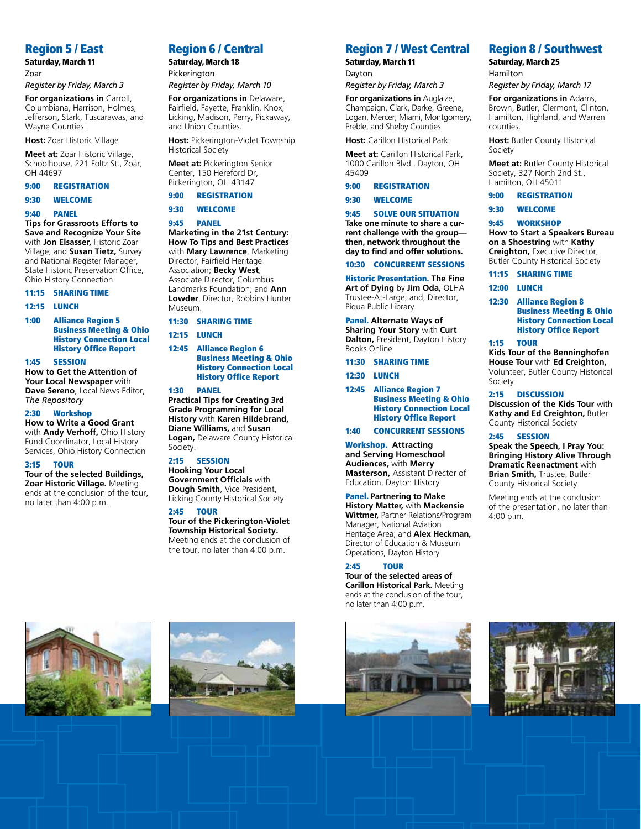# Region 5 / East

Saturday, March 11 Zoar

#### *Register by Friday, March 3*

**For organizations in** Carroll, Columbiana, Harrison, Holmes, Jefferson, Stark, Tuscarawas, and Wayne Counties.

**Host:** Zoar Historic Village

**Meet at:** Zoar Historic Village, Schoolhouse, 221 Foltz St., Zoar, OH 44697

# 9:00 REGISTRATION

#### 9:30 WELCOME

#### 9:40 PANEL

**Tips for Grassroots Efforts to Save and Recognize Your Site** with **Jon Elsasser,** Historic Zoar Village; and **Susan Tietz,** Survey and National Register Manager, State Historic Preservation Office, Ohio History Connection

#### 11:15 SHARING TIME

#### 12:15 LUNCH

1:00 Alliance Region 5 Business Meeting & Ohio History Connection Local History Office Report

#### 1:45 SESSION

**How to Get the Attention of Your Local Newspaper** with **Dave Sereno**, Local News Editor, *The Repository*

#### 2:30 Workshop

**How to Write a Good Grant**  with **Andy Verhoff,** Ohio History Fund Coordinator, Local History Services, Ohio History Connection

#### 3:15 TOUR

**Tour of the selected Buildings, Zoar Historic Village.** Meeting ends at the conclusion of the tour, no later than 4:00 p.m.

# Region 6 / Central

Saturday, March 18 Pickerington

#### *Register by Friday, March 10*

**For organizations in** Delaware, Fairfield, Fayette, Franklin, Knox, Licking, Madison, Perry, Pickaway, and Union Counties.

**Host:** Pickerington-Violet Township Historical Society

**Meet at:** Pickerington Senior Center, 150 Hereford Dr, Pickerington, OH 43147

# 9:00 REGISTRATION

#### 9:30 WELCOME

#### 9:45 PANEL

**Marketing in the 21st Century: How To Tips and Best Practices**  with **Mary Lawrence**, Marketing Director, Fairfield Heritage Association; **Becky West**, Associate Director, Columbus Landmarks Foundation; and **Ann Lowder**, Director, Robbins Hunter Museum.

#### 11:30 SHARING TIME

#### 12:15 LUNCH

12:45 Alliance Region 6 Business Meeting & Ohio History Connection Local History Office Report

#### 1:30 PANEL

**Practical Tips for Creating 3rd Grade Programming for Local History** with **Karen Hildebrand, Diane Williams,** and **Susan Logan,** Delaware County Historical Society.

#### 2:15 SESSION

**Hooking Your Local Government Officials** with **Dough Smith**, Vice President, Licking County Historical Society

#### 2:45 TOUR

**Tour of the Pickerington-Violet Township Historical Society.** Meeting ends at the conclusion of the tour, no later than 4:00 p.m.

# Region 7 / West Central

Saturday, March 11 Dayton

*Register by Friday, March 3*

#### **For organizations in** Auglaize, Champaign, Clark, Darke, Greene,

Logan, Mercer, Miami, Montgomery, Preble, and Shelby Counties.

**Host:** Carillon Historical Park

**Meet at:** Carillon Historical Park, 1000 Carillon Blvd., Dayton, OH 45409

#### 9:00 REGISTRATION

#### 9:30 WELCOME

9:45 SOLVE OUR SITUATION

**Take one minute to share a current challenge with the group then, network throughout the day to find and offer solutions.** 

#### 10:30 CONCURRENT SESSIONS

Historic Presentation. **The Fine** 

**Art of Dying** by **Jim Oda,** OLHA Trustee-At-Large; and, Director, Piqua Public Library

Panel. **Alternate Ways of Sharing Your Story** with **Curt** 

**Dalton,** President, Dayton History Books Online

11:30 SHARING TIME

Business Meeting & Ohio History Connection Local History Office Report

**Masterson,** Assistant Director of

**History Matter,** with **Mackensie Wittmer,** Partner Relations/Program Manager, National Aviation Heritage Area; and **Alex Heckman,**  Director of Education & Museum Operations, Dayton History

# 2:45 TOUR

**Tour of the selected areas of Carillon Historical Park.** Meeting ends at the conclusion of the tour, no later than 4:00 p.m.



# Region 8 / Southwest

Saturday, March 25 Hamilton

*Register by Friday, March 17*

**For organizations in** Adams, Brown, Butler, Clermont, Clinton, Hamilton, Highland, and Warren counties.

**Host:** Butler County Historical Society

**Meet at:** Butler County Historical Society, 327 North 2nd St., Hamilton, OH 45011

#### 9:00 REGISTRATION

#### 9:30 WELCOME

9:45 WORKSHOP **How to Start a Speakers Bureau on a Shoestring** with **Kathy Creighton,** Executive Director, Butler County Historical Society

#### 11:15 SHARING TIME

- 12:00 LUNCH
- 12:30 Alliance Region 8 Business Meeting & Ohio History Connection Local History Office Report

#### 1:15 TOUR

**Kids Tour of the Benninghofen House Tour** with **Ed Creighton,**  Volunteer, Butler County Historical Society

#### 2:15 DISCUSSION

**Discussion of the Kids Tour** with **Kathy and Ed Creighton,** Butler County Historical Society

#### 2:45 SESSION

**Speak the Speech, I Pray You: Bringing History Alive Through Dramatic Reenactment** with **Brian Smith,** Trustee, Butler County Historical Society

Meeting ends at the conclusion of the presentation, no later than 4:00 p.m.











# 1:40 CONCURRENT SESSIONS

Workshop. **Attracting and Serving Homeschool Audiences,** with **Merry** 

Education, Dayton History Panel. **Partnering to Make**